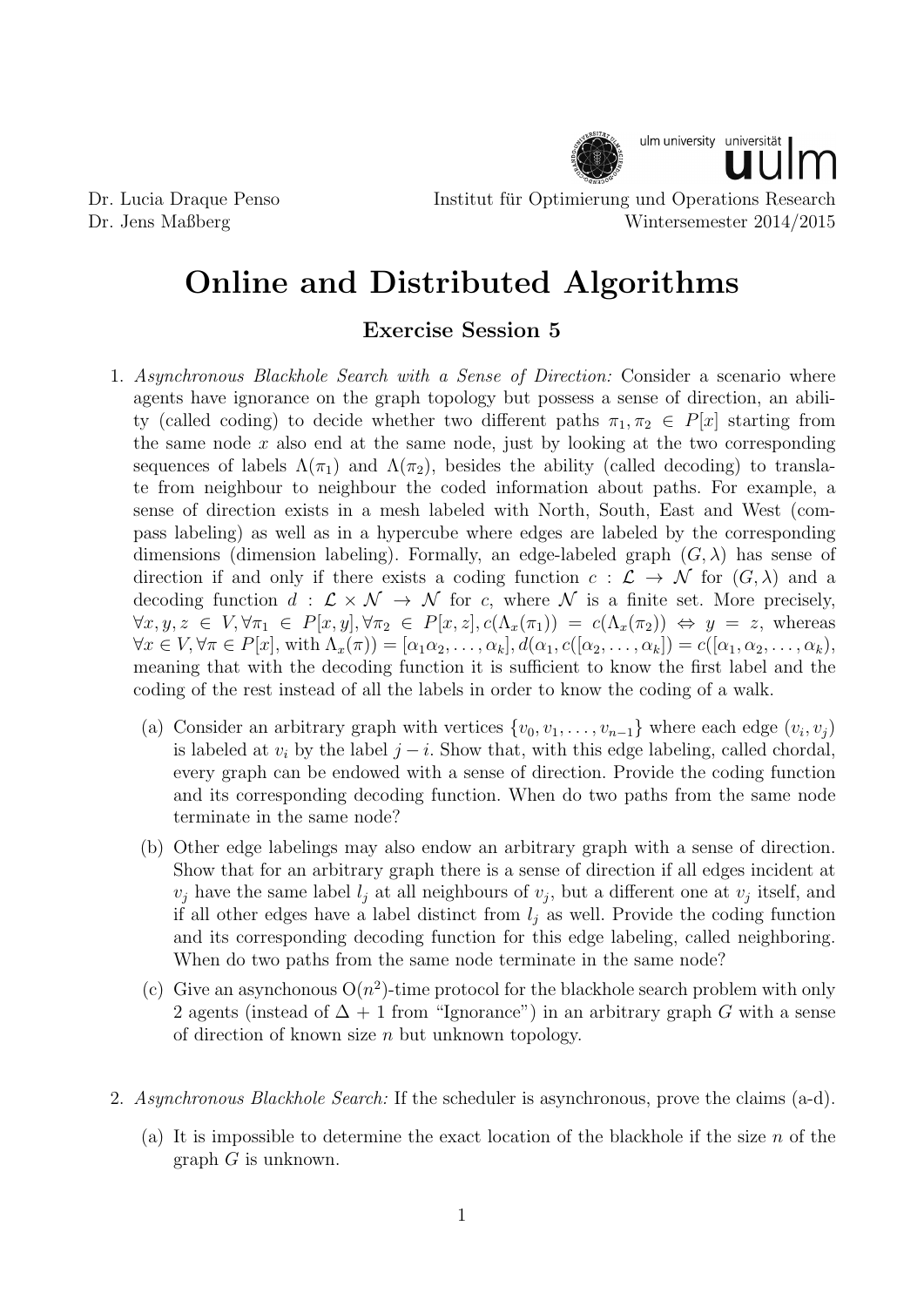

Dr. Lucia Draque Penso Institut fur Optimierung und Operations Research ¨ Dr. Jens Maßberg Wintersemester 2014/2015

## Online and Distributed Algorithms

## Exercise Session 5

- 1. Asynchronous Blackhole Search with a Sense of Direction: Consider a scenario where agents have ignorance on the graph topology but possess a sense of direction, an ability (called coding) to decide whether two different paths  $\pi_1, \pi_2 \in P[x]$  starting from the same node  $x$  also end at the same node, just by looking at the two corresponding sequences of labels  $\Lambda(\pi_1)$  and  $\Lambda(\pi_2)$ , besides the ability (called decoding) to translate from neighbour to neighbour the coded information about paths. For example, a sense of direction exists in a mesh labeled with North, South, East and West (compass labeling) as well as in a hypercube where edges are labeled by the corresponding dimensions (dimension labeling). Formally, an edge-labeled graph  $(G, \lambda)$  has sense of direction if and only if there exists a coding function  $c : \mathcal{L} \to \mathcal{N}$  for  $(G, \lambda)$  and a decoding function  $d : \mathcal{L} \times \mathcal{N} \to \mathcal{N}$  for c, where  $\mathcal{N}$  is a finite set. More precisely,  $\forall x, y, z \in V, \forall \pi_1 \in P[x, y], \forall \pi_2 \in P[x, z], c(\Lambda_x(\pi_1)) = c(\Lambda_x(\pi_2)) \Leftrightarrow y = z$ , whereas  $\forall x \in V, \forall \pi \in P[x], \text{ with } \Lambda_x(\pi) = [\alpha_1 \alpha_2, \ldots, \alpha_k], d(\alpha_1, c([\alpha_2, \ldots, \alpha_k]) = c([\alpha_1, \alpha_2, \ldots, \alpha_k])$ meaning that with the decoding function it is sufficient to know the first label and the coding of the rest instead of all the labels in order to know the coding of a walk.
	- (a) Consider an arbitrary graph with vertices  $\{v_0, v_1, \ldots, v_{n-1}\}\$  where each edge  $(v_i, v_j)\$ is labeled at  $v_i$  by the label  $j - i$ . Show that, with this edge labeling, called chordal, every graph can be endowed with a sense of direction. Provide the coding function and its corresponding decoding function. When do two paths from the same node terminate in the same node?
	- (b) Other edge labelings may also endow an arbitrary graph with a sense of direction. Show that for an arbitrary graph there is a sense of direction if all edges incident at  $v_j$  have the same label  $l_j$  at all neighbours of  $v_j$ , but a different one at  $v_j$  itself, and if all other edges have a label distinct from  $l_i$  as well. Provide the coding function and its corresponding decoding function for this edge labeling, called neighboring. When do two paths from the same node terminate in the same node?
	- (c) Give an asynchonous  $O(n^2)$ -time protocol for the blackhole search problem with only 2 agents (instead of  $\Delta + 1$  from "Ignorance") in an arbitrary graph G with a sense of direction of known size  $n$  but unknown topology.
- 2. Asynchronous Blackhole Search: If the scheduler is asynchronous, prove the claims (a-d).
	- (a) It is impossible to determine the exact location of the blackhole if the size  $n$  of the graph G is unknown.